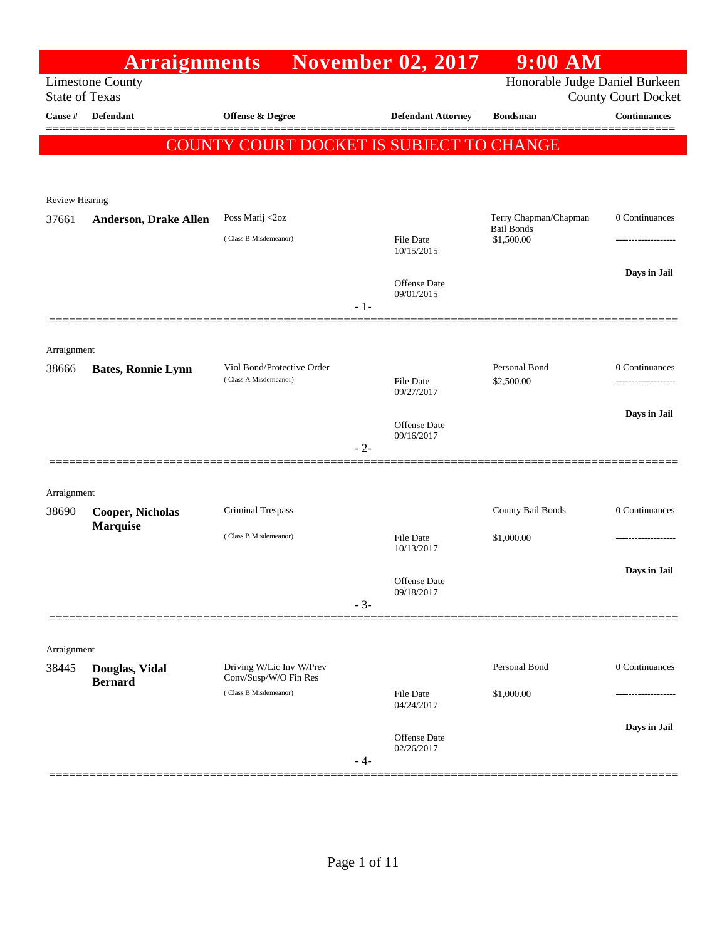|                       | <b>Arraignments</b>                        |                                                     |       | <b>November 02, 2017</b>          | $9:00$ AM                                  |                            |
|-----------------------|--------------------------------------------|-----------------------------------------------------|-------|-----------------------------------|--------------------------------------------|----------------------------|
| <b>State of Texas</b> | <b>Limestone County</b>                    |                                                     |       |                                   | Honorable Judge Daniel Burkeen             | <b>County Court Docket</b> |
| Cause #               | <b>Defendant</b>                           | <b>Offense &amp; Degree</b>                         |       | <b>Defendant Attorney</b>         | <b>Bondsman</b>                            | <b>Continuances</b>        |
|                       |                                            | COUNTY COURT DOCKET IS SUBJECT TO CHANGE            |       |                                   |                                            |                            |
|                       |                                            |                                                     |       |                                   |                                            |                            |
| <b>Review Hearing</b> |                                            |                                                     |       |                                   |                                            |                            |
| 37661                 | <b>Anderson, Drake Allen</b>               | Poss Marij <2oz                                     |       |                                   | Terry Chapman/Chapman<br><b>Bail Bonds</b> | 0 Continuances             |
|                       |                                            | (Class B Misdemeanor)                               |       | <b>File Date</b><br>10/15/2015    | \$1,500.00                                 |                            |
|                       |                                            |                                                     |       |                                   |                                            | Days in Jail               |
|                       |                                            |                                                     |       | Offense Date<br>09/01/2015        |                                            |                            |
|                       |                                            |                                                     | $-1-$ |                                   |                                            |                            |
|                       |                                            |                                                     |       |                                   |                                            |                            |
| Arraignment           |                                            |                                                     |       |                                   |                                            |                            |
| 38666                 | <b>Bates, Ronnie Lynn</b>                  | Viol Bond/Protective Order<br>(Class A Misdemeanor) |       | <b>File Date</b>                  | Personal Bond<br>\$2,500.00                | 0 Continuances<br>.        |
|                       |                                            |                                                     |       | 09/27/2017                        |                                            |                            |
|                       |                                            |                                                     |       | <b>Offense</b> Date<br>09/16/2017 |                                            | Days in Jail               |
|                       |                                            |                                                     | $-2-$ |                                   |                                            |                            |
|                       |                                            |                                                     |       |                                   |                                            |                            |
| Arraignment           |                                            |                                                     |       |                                   |                                            |                            |
| 38690                 | <b>Cooper, Nicholas</b><br><b>Marquise</b> | <b>Criminal Trespass</b>                            |       |                                   | County Bail Bonds                          | 0 Continuances             |
|                       |                                            | (Class B Misdemeanor)                               |       | <b>File Date</b><br>10/13/2017    | \$1,000.00                                 |                            |
|                       |                                            |                                                     |       |                                   |                                            | Days in Jail               |
|                       |                                            |                                                     |       | Offense Date<br>09/18/2017        |                                            |                            |
|                       |                                            |                                                     | $-3-$ |                                   |                                            |                            |
|                       |                                            |                                                     |       |                                   |                                            |                            |
| Arraignment           |                                            | Driving W/Lic Inv W/Prev                            |       |                                   | Personal Bond                              | 0 Continuances             |
| 38445                 | Douglas, Vidal<br><b>Bernard</b>           | Conv/Susp/W/O Fin Res                               |       |                                   |                                            |                            |
|                       |                                            | (Class B Misdemeanor)                               |       | File Date<br>04/24/2017           | \$1,000.00                                 |                            |
|                       |                                            |                                                     |       |                                   |                                            | Days in Jail               |
|                       |                                            |                                                     |       | Offense Date<br>02/26/2017        |                                            |                            |
|                       |                                            |                                                     | - 4-  |                                   |                                            |                            |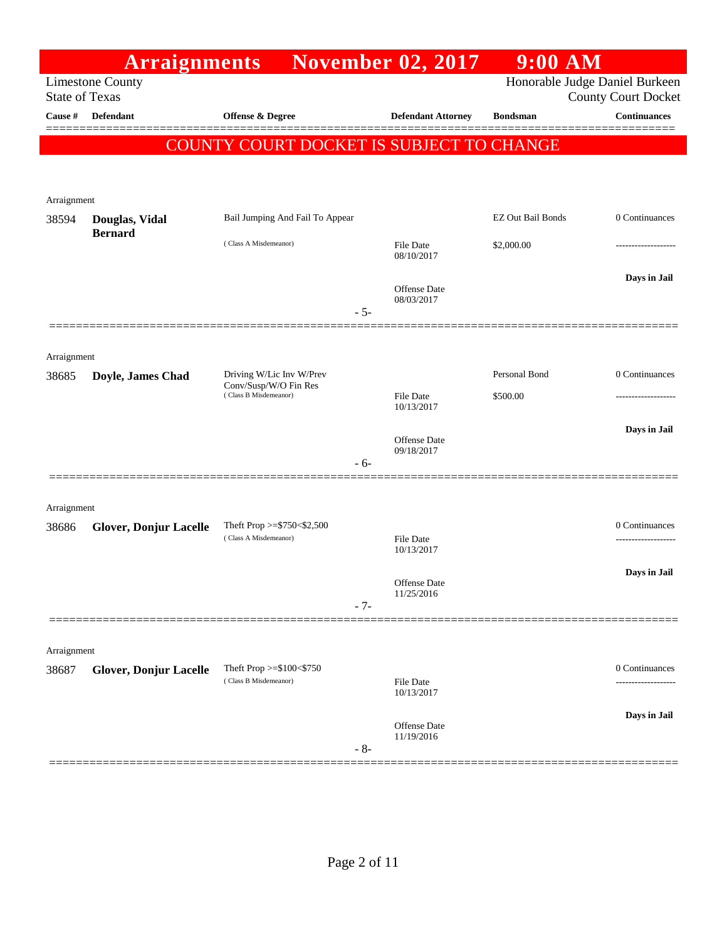|                       | <b>Arraignments</b>           |                                                      | <b>November 02, 2017</b>       | $9:00$ AM                      |                            |
|-----------------------|-------------------------------|------------------------------------------------------|--------------------------------|--------------------------------|----------------------------|
| <b>State of Texas</b> | <b>Limestone County</b>       |                                                      |                                | Honorable Judge Daniel Burkeen | <b>County Court Docket</b> |
| Cause #               | Defendant                     | Offense & Degree                                     | <b>Defendant Attorney</b>      | <b>Bondsman</b>                | <b>Continuances</b>        |
|                       |                               | COUNTY COURT DOCKET IS SUBJECT TO CHANGE             |                                |                                |                            |
|                       |                               |                                                      |                                |                                |                            |
| Arraignment           |                               |                                                      |                                |                                |                            |
| 38594                 | Douglas, Vidal                | Bail Jumping And Fail To Appear                      |                                | EZ Out Bail Bonds              | 0 Continuances             |
|                       | <b>Bernard</b>                | (Class A Misdemeanor)                                | File Date<br>08/10/2017        | \$2,000.00                     | -----------------          |
|                       |                               | $-5-$                                                | Offense Date<br>08/03/2017     |                                | Days in Jail               |
| Arraignment           |                               |                                                      |                                |                                |                            |
| 38685                 | Doyle, James Chad             | Driving W/Lic Inv W/Prev                             |                                | Personal Bond                  | 0 Continuances             |
|                       |                               | Conv/Susp/W/O Fin Res<br>(Class B Misdemeanor)       | File Date<br>10/13/2017        | \$500.00                       | ------------------         |
|                       |                               |                                                      |                                |                                | Days in Jail               |
|                       |                               | - 6-                                                 | Offense Date<br>09/18/2017     |                                |                            |
|                       |                               |                                                      |                                |                                |                            |
| Arraignment           |                               |                                                      |                                |                                |                            |
| 38686                 | <b>Glover, Donjur Lacelle</b> | Theft Prop >= $$750<$2,500$<br>(Class A Misdemeanor) | File Date                      |                                | 0 Continuances             |
|                       |                               |                                                      | 10/13/2017                     |                                | Days in Jail               |
|                       |                               |                                                      | Offense Date<br>11/25/2016     |                                |                            |
|                       |                               | $-7-$                                                |                                |                                |                            |
| Arraignment           |                               |                                                      |                                |                                |                            |
| 38687                 | <b>Glover, Donjur Lacelle</b> | Theft Prop >=\$100<\$750<br>(Class B Misdemeanor)    |                                |                                | 0 Continuances             |
|                       |                               |                                                      | <b>File Date</b><br>10/13/2017 |                                | ------------------         |
|                       |                               |                                                      | Offense Date                   |                                | Days in Jail               |
|                       |                               | $-8-$                                                | 11/19/2016                     |                                |                            |
|                       |                               |                                                      |                                |                                |                            |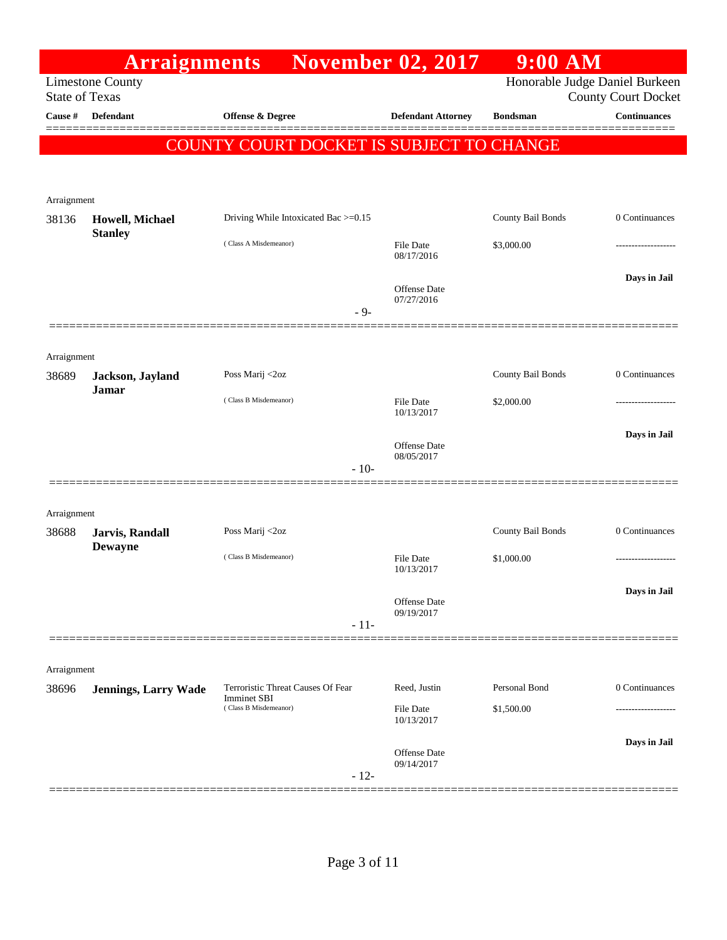|                       | <b>Arraignments</b>               |                                             | <b>November 02, 2017</b>          | $9:00$ AM                      |                            |
|-----------------------|-----------------------------------|---------------------------------------------|-----------------------------------|--------------------------------|----------------------------|
| <b>State of Texas</b> | <b>Limestone County</b>           |                                             |                                   | Honorable Judge Daniel Burkeen | <b>County Court Docket</b> |
| Cause #               | <b>Defendant</b>                  | Offense & Degree                            | <b>Defendant Attorney</b>         | <b>Bondsman</b>                | <b>Continuances</b>        |
|                       |                                   | COUNTY COURT DOCKET IS SUBJECT TO CHANGE    |                                   |                                |                            |
|                       |                                   |                                             |                                   |                                |                            |
|                       |                                   |                                             |                                   |                                |                            |
| Arraignment<br>38136  | Howell, Michael                   | Driving While Intoxicated Bac >=0.15        |                                   | County Bail Bonds              | 0 Continuances             |
|                       | <b>Stanley</b>                    | (Class A Misdemeanor)                       | <b>File Date</b>                  | \$3,000.00                     | ------------------         |
|                       |                                   |                                             | 08/17/2016                        |                                |                            |
|                       |                                   |                                             | Offense Date                      |                                | Days in Jail               |
|                       |                                   | $-9-$                                       | 07/27/2016                        |                                |                            |
|                       |                                   |                                             |                                   |                                |                            |
| Arraignment           |                                   |                                             |                                   |                                |                            |
| 38689                 | Jackson, Jayland                  | Poss Marij <2oz                             |                                   | County Bail Bonds              | 0 Continuances             |
|                       | Jamar                             | (Class B Misdemeanor)                       | <b>File Date</b>                  | \$2,000.00                     | -----------------          |
|                       |                                   |                                             | 10/13/2017                        |                                |                            |
|                       |                                   |                                             | Offense Date<br>08/05/2017        |                                | Days in Jail               |
|                       |                                   | $-10-$                                      |                                   |                                |                            |
|                       |                                   |                                             |                                   |                                |                            |
| Arraignment           |                                   |                                             |                                   |                                |                            |
| 38688                 | Jarvis, Randall<br><b>Dewayne</b> | Poss Marij <2oz                             |                                   | County Bail Bonds              | 0 Continuances             |
|                       |                                   | (Class B Misdemeanor)                       | <b>File Date</b><br>10/13/2017    | \$1,000.00                     | .                          |
|                       |                                   |                                             |                                   |                                | Days in Jail               |
|                       |                                   |                                             | <b>Offense Date</b><br>09/19/2017 |                                |                            |
|                       |                                   | $-11-$                                      |                                   |                                |                            |
|                       |                                   |                                             |                                   |                                |                            |
| Arraignment           |                                   | Terroristic Threat Causes Of Fear           | Reed, Justin                      | Personal Bond                  | 0 Continuances             |
| 38696                 | <b>Jennings, Larry Wade</b>       | <b>Imminet SBI</b><br>(Class B Misdemeanor) | <b>File Date</b>                  | \$1,500.00                     |                            |
|                       |                                   |                                             | 10/13/2017                        |                                |                            |
|                       |                                   |                                             | Offense Date                      |                                | Days in Jail               |
|                       |                                   | $-12-$                                      | 09/14/2017                        |                                |                            |
|                       |                                   |                                             |                                   |                                |                            |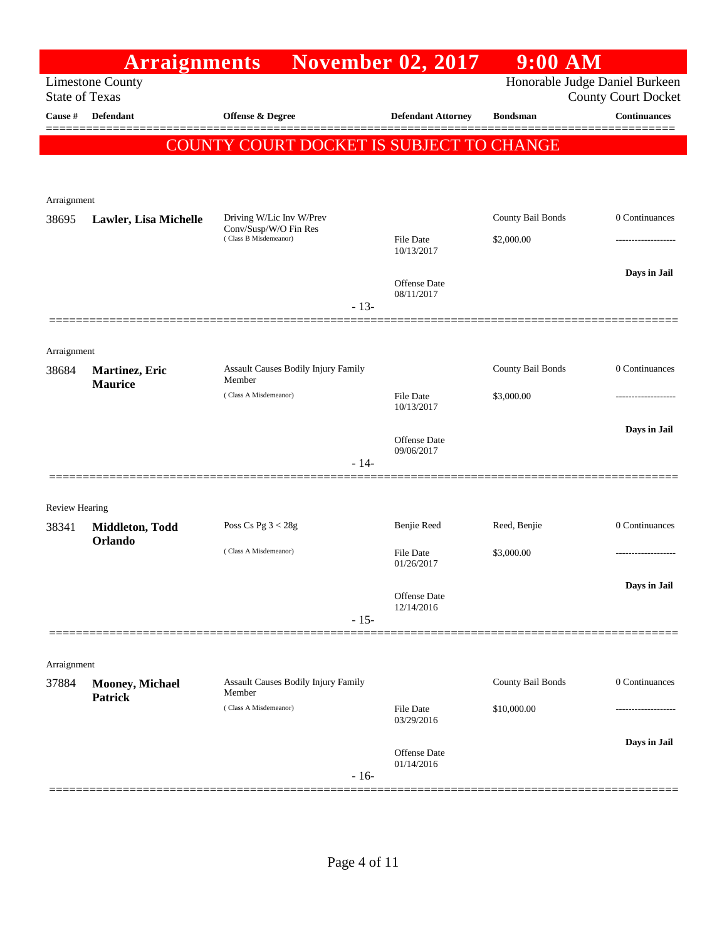|                       | <b>Arraignments</b>               |                                                |        | <b>November 02, 2017</b>       | $9:00$ AM         |                                                              |
|-----------------------|-----------------------------------|------------------------------------------------|--------|--------------------------------|-------------------|--------------------------------------------------------------|
| <b>State of Texas</b> | <b>Limestone County</b>           |                                                |        |                                |                   | Honorable Judge Daniel Burkeen<br><b>County Court Docket</b> |
| Cause #               | <b>Defendant</b>                  | <b>Offense &amp; Degree</b>                    |        | <b>Defendant Attorney</b>      | <b>Bondsman</b>   | <b>Continuances</b>                                          |
|                       |                                   | COUNTY COURT DOCKET IS SUBJECT TO CHANGE       |        |                                |                   |                                                              |
|                       |                                   |                                                |        |                                |                   |                                                              |
|                       |                                   |                                                |        |                                |                   |                                                              |
| Arraignment<br>38695  | Lawler, Lisa Michelle             | Driving W/Lic Inv W/Prev                       |        |                                | County Bail Bonds | 0 Continuances                                               |
|                       |                                   | Conv/Susp/W/O Fin Res<br>(Class B Misdemeanor) |        | <b>File Date</b><br>10/13/2017 | \$2,000.00        |                                                              |
|                       |                                   |                                                |        | <b>Offense</b> Date            |                   | Days in Jail                                                 |
|                       |                                   |                                                | $-13-$ | 08/11/2017                     |                   |                                                              |
|                       |                                   |                                                |        |                                |                   |                                                              |
| Arraignment           |                                   |                                                |        |                                |                   |                                                              |
| 38684                 | Martinez, Eric                    | Assault Causes Bodily Injury Family<br>Member  |        |                                | County Bail Bonds | 0 Continuances                                               |
|                       | <b>Maurice</b>                    | (Class A Misdemeanor)                          |        | <b>File Date</b><br>10/13/2017 | \$3,000.00        | ---------------                                              |
|                       |                                   |                                                |        | <b>Offense</b> Date            |                   | Days in Jail                                                 |
|                       |                                   |                                                | $-14-$ | 09/06/2017                     |                   |                                                              |
|                       |                                   |                                                |        |                                |                   |                                                              |
| Review Hearing        |                                   |                                                |        |                                |                   |                                                              |
| 38341                 | Middleton, Todd<br>Orlando        | Poss Cs Pg $3 < 28g$                           |        | Benjie Reed                    | Reed, Benjie      | 0 Continuances                                               |
|                       |                                   | (Class A Misdemeanor)                          |        | <b>File Date</b><br>01/26/2017 | \$3,000.00        |                                                              |
|                       |                                   |                                                |        | Offense Date                   |                   | Days in Jail                                                 |
|                       |                                   |                                                | $-15-$ | 12/14/2016                     |                   |                                                              |
|                       |                                   |                                                |        |                                |                   |                                                              |
| Arraignment           |                                   |                                                |        |                                |                   |                                                              |
| 37884                 | Mooney, Michael<br><b>Patrick</b> | Assault Causes Bodily Injury Family<br>Member  |        |                                | County Bail Bonds | 0 Continuances                                               |
|                       |                                   | (Class A Misdemeanor)                          |        | <b>File Date</b><br>03/29/2016 | \$10,000.00       |                                                              |
|                       |                                   |                                                |        | <b>Offense Date</b>            |                   | Days in Jail                                                 |
|                       |                                   |                                                | $-16-$ | 01/14/2016                     |                   |                                                              |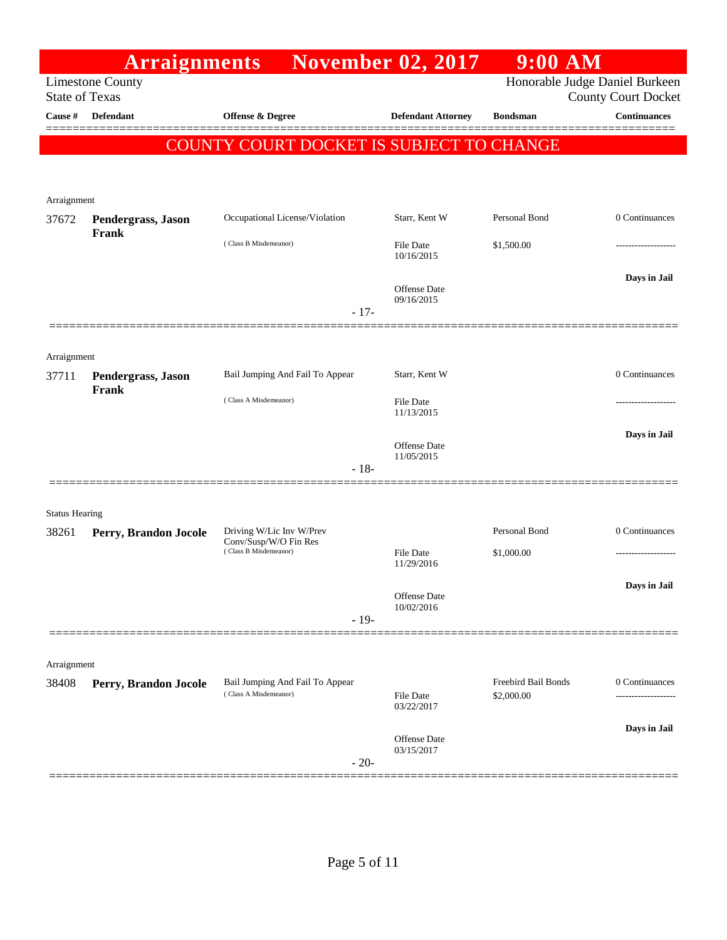|                       | <b>Arraignments</b>         |                                                   | <b>November 02, 2017</b>       | $9:00$ AM           |                                                              |
|-----------------------|-----------------------------|---------------------------------------------------|--------------------------------|---------------------|--------------------------------------------------------------|
| <b>State of Texas</b> | <b>Limestone County</b>     |                                                   |                                |                     | Honorable Judge Daniel Burkeen<br><b>County Court Docket</b> |
| Cause #               | <b>Defendant</b>            | <b>Offense &amp; Degree</b>                       | <b>Defendant Attorney</b>      | <b>Bondsman</b>     | <b>Continuances</b>                                          |
|                       |                             | COUNTY COURT DOCKET IS SUBJECT TO CHANGE          |                                |                     |                                                              |
|                       |                             |                                                   |                                |                     |                                                              |
| Arraignment           |                             |                                                   |                                |                     |                                                              |
| 37672                 | Pendergrass, Jason          | Occupational License/Violation                    | Starr, Kent W                  | Personal Bond       | 0 Continuances                                               |
|                       | Frank                       | (Class B Misdemeanor)                             | File Date<br>10/16/2015        | \$1,500.00          |                                                              |
|                       |                             | $-17-$                                            | Offense Date<br>09/16/2015     |                     | Days in Jail                                                 |
|                       |                             |                                                   |                                |                     |                                                              |
| Arraignment           |                             |                                                   |                                |                     |                                                              |
| 37711                 | Pendergrass, Jason<br>Frank | Bail Jumping And Fail To Appear                   | Starr, Kent W                  |                     | 0 Continuances                                               |
|                       |                             | (Class A Misdemeanor)                             | File Date<br>11/13/2015        |                     |                                                              |
|                       |                             | $-18-$                                            | Offense Date<br>11/05/2015     |                     | Days in Jail                                                 |
|                       |                             |                                                   |                                |                     |                                                              |
| <b>Status Hearing</b> |                             |                                                   |                                |                     |                                                              |
| 38261                 | Perry, Brandon Jocole       | Driving W/Lic Inv W/Prev<br>Conv/Susp/W/O Fin Res |                                | Personal Bond       | 0 Continuances                                               |
|                       |                             | (Class B Misdemeanor)                             | <b>File Date</b><br>11/29/2016 | \$1,000.00          | ------------------                                           |
|                       |                             |                                                   |                                |                     | Days in Jail                                                 |
|                       |                             |                                                   | Offense Date<br>10/02/2016     |                     |                                                              |
|                       |                             | $-19-$                                            |                                |                     |                                                              |
| Arraignment           |                             |                                                   |                                |                     |                                                              |
| 38408                 | Perry, Brandon Jocole       | Bail Jumping And Fail To Appear                   |                                | Freebird Bail Bonds | 0 Continuances                                               |
|                       |                             | (Class A Misdemeanor)                             | <b>File Date</b><br>03/22/2017 | \$2,000.00          | --------------                                               |
|                       |                             |                                                   | Offense Date                   |                     | Days in Jail                                                 |
|                       |                             | $-20-$                                            | 03/15/2017                     |                     |                                                              |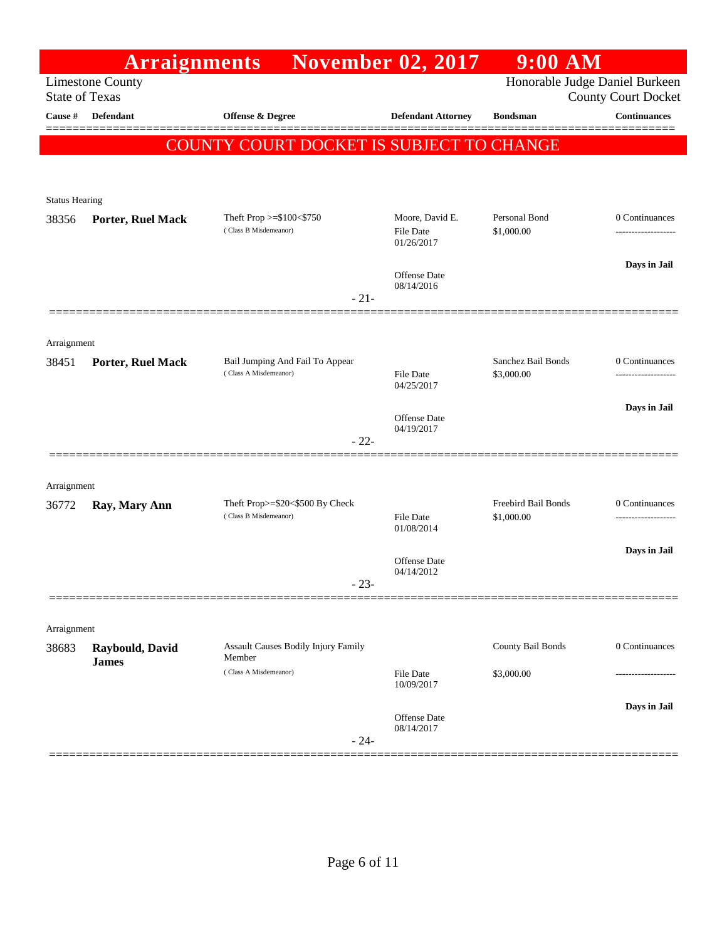|                                  | <b>Arraignments</b>     |                                                          | <b>November 02, 2017</b>       | $9:00$ AM                        |                                                   |
|----------------------------------|-------------------------|----------------------------------------------------------|--------------------------------|----------------------------------|---------------------------------------------------|
|                                  | <b>Limestone County</b> |                                                          |                                |                                  | Honorable Judge Daniel Burkeen                    |
| <b>State of Texas</b><br>Cause # | <b>Defendant</b>        |                                                          |                                | <b>Bondsman</b>                  | <b>County Court Docket</b><br><b>Continuances</b> |
|                                  |                         | <b>Offense &amp; Degree</b>                              | <b>Defendant Attorney</b>      |                                  | ▆▆▅▅▅▅                                            |
|                                  |                         | COUNTY COURT DOCKET IS SUBJECT TO CHANGE                 |                                |                                  |                                                   |
|                                  |                         |                                                          |                                |                                  |                                                   |
| <b>Status Hearing</b>            |                         |                                                          |                                |                                  |                                                   |
| 38356                            | Porter, Ruel Mack       | Theft Prop >=\$100<\$750                                 | Moore, David E.                | Personal Bond                    | 0 Continuances                                    |
|                                  |                         | (Class B Misdemeanor)                                    | <b>File Date</b><br>01/26/2017 | \$1,000.00                       | .                                                 |
|                                  |                         |                                                          |                                |                                  | Days in Jail                                      |
|                                  |                         |                                                          | Offense Date<br>08/14/2016     |                                  |                                                   |
|                                  |                         | $-21-$                                                   |                                |                                  |                                                   |
|                                  |                         |                                                          |                                |                                  |                                                   |
| Arraignment                      |                         |                                                          |                                |                                  |                                                   |
| 38451                            | Porter, Ruel Mack       | Bail Jumping And Fail To Appear<br>(Class A Misdemeanor) |                                | Sanchez Bail Bonds<br>\$3,000.00 | 0 Continuances<br>---------------                 |
|                                  |                         |                                                          | <b>File Date</b><br>04/25/2017 |                                  |                                                   |
|                                  |                         |                                                          |                                |                                  | Days in Jail                                      |
|                                  |                         |                                                          | Offense Date<br>04/19/2017     |                                  |                                                   |
|                                  |                         | $-22-$                                                   |                                |                                  |                                                   |
|                                  |                         |                                                          |                                |                                  |                                                   |
| Arraignment                      |                         | Theft Prop>=\$20<\$500 By Check                          |                                | Freebird Bail Bonds              | 0 Continuances                                    |
| 36772                            | Ray, Mary Ann           | (Class B Misdemeanor)                                    | File Date                      | \$1,000.00                       | ----------------                                  |
|                                  |                         |                                                          | 01/08/2014                     |                                  |                                                   |
|                                  |                         |                                                          | Offense Date                   |                                  | Days in Jail                                      |
|                                  |                         | 23                                                       | 04/14/2012                     |                                  |                                                   |
|                                  |                         |                                                          |                                |                                  |                                                   |
| Arraignment                      |                         |                                                          |                                |                                  |                                                   |
| 38683                            | Raybould, David         | <b>Assault Causes Bodily Injury Family</b>               |                                | County Bail Bonds                | 0 Continuances                                    |
|                                  | <b>James</b>            | Member<br>(Class A Misdemeanor)                          | <b>File Date</b>               | \$3,000.00                       |                                                   |
|                                  |                         |                                                          | 10/09/2017                     |                                  |                                                   |
|                                  |                         |                                                          | Offense Date                   |                                  | Days in Jail                                      |
|                                  |                         | $-24-$                                                   | 08/14/2017                     |                                  |                                                   |
|                                  |                         |                                                          |                                |                                  |                                                   |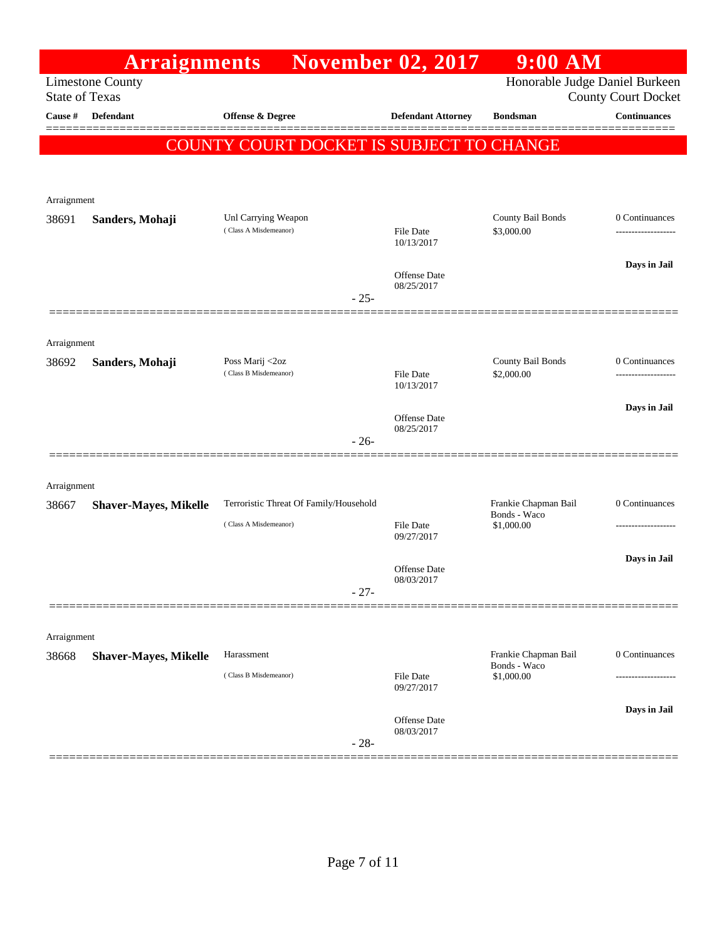|                       | <b>Arraignments</b>          |                                                                 | <b>November 02, 2017</b>       | $9:00$ AM                            |                                      |
|-----------------------|------------------------------|-----------------------------------------------------------------|--------------------------------|--------------------------------------|--------------------------------------|
| <b>State of Texas</b> | <b>Limestone County</b>      |                                                                 |                                | Honorable Judge Daniel Burkeen       | County Court Docket                  |
| Cause #               | <b>Defendant</b>             | <b>Offense &amp; Degree</b>                                     | <b>Defendant Attorney</b>      | <b>Bondsman</b>                      | <b>Continuances</b>                  |
|                       |                              | COUNTY COURT DOCKET IS SUBJECT TO CHANGE                        |                                |                                      |                                      |
|                       |                              |                                                                 |                                |                                      |                                      |
|                       |                              |                                                                 |                                |                                      |                                      |
| Arraignment           |                              |                                                                 |                                |                                      |                                      |
| 38691                 | Sanders, Mohaji              | Unl Carrying Weapon<br>(Class A Misdemeanor)                    | File Date<br>10/13/2017        | County Bail Bonds<br>\$3,000.00      | 0 Continuances<br>------------------ |
|                       |                              |                                                                 | Offense Date<br>08/25/2017     |                                      | Days in Jail                         |
|                       |                              | $-25-$                                                          |                                |                                      |                                      |
|                       |                              |                                                                 |                                |                                      |                                      |
| Arraignment<br>38692  | Sanders, Mohaji              | Poss Marij <2oz                                                 |                                | County Bail Bonds                    | 0 Continuances                       |
|                       |                              | (Class B Misdemeanor)                                           | File Date<br>10/13/2017        | \$2,000.00                           |                                      |
|                       |                              |                                                                 | <b>Offense</b> Date            |                                      | Days in Jail                         |
|                       |                              | $-26-$                                                          | 08/25/2017                     |                                      |                                      |
|                       |                              |                                                                 |                                |                                      |                                      |
| Arraignment           |                              |                                                                 |                                |                                      |                                      |
| 38667                 | <b>Shaver-Mayes, Mikelle</b> | Terroristic Threat Of Family/Household<br>(Class A Misdemeanor) |                                | Frankie Chapman Bail<br>Bonds - Waco | 0 Continuances                       |
|                       |                              |                                                                 | <b>File Date</b><br>09/27/2017 | \$1,000.00                           |                                      |
|                       |                              |                                                                 | Offense Date                   |                                      | Days in Jail                         |
|                       |                              | $-27-$                                                          | 08/03/2017                     |                                      |                                      |
|                       |                              |                                                                 |                                |                                      |                                      |
| Arraignment           |                              |                                                                 |                                |                                      |                                      |
| 38668                 | <b>Shaver-Mayes, Mikelle</b> | Harassment                                                      |                                | Frankie Chapman Bail<br>Bonds - Waco | 0 Continuances                       |
|                       |                              | (Class B Misdemeanor)                                           | File Date<br>09/27/2017        | \$1,000.00                           |                                      |
|                       |                              |                                                                 | Offense Date                   |                                      | Days in Jail                         |
|                       |                              | $-28-$                                                          | 08/03/2017                     |                                      |                                      |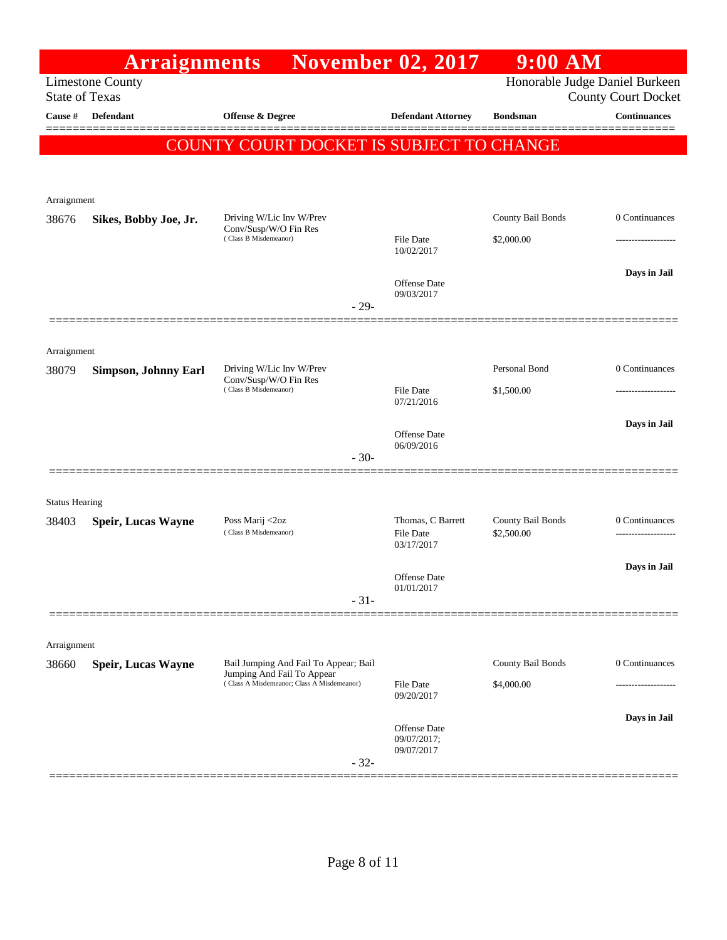|                       | <b>Arraignments</b>                              |                                                                          | <b>November 02, 2017</b>       | $9:00$ AM                       |                            |
|-----------------------|--------------------------------------------------|--------------------------------------------------------------------------|--------------------------------|---------------------------------|----------------------------|
|                       | <b>Limestone County</b><br><b>State of Texas</b> |                                                                          |                                | Honorable Judge Daniel Burkeen  | <b>County Court Docket</b> |
| Cause #               | <b>Defendant</b>                                 | <b>Offense &amp; Degree</b>                                              | <b>Defendant Attorney</b>      | <b>Bondsman</b>                 | <b>Continuances</b>        |
|                       |                                                  | COUNTY COURT DOCKET IS SUBJECT TO CHANGE                                 |                                |                                 |                            |
|                       |                                                  |                                                                          |                                |                                 |                            |
| Arraignment           |                                                  |                                                                          |                                |                                 |                            |
| 38676                 | Sikes, Bobby Joe, Jr.                            | Driving W/Lic Inv W/Prev<br>Conv/Susp/W/O Fin Res                        |                                | County Bail Bonds               | 0 Continuances             |
|                       |                                                  | (Class B Misdemeanor)                                                    | File Date<br>10/02/2017        | \$2,000.00                      |                            |
|                       |                                                  |                                                                          |                                |                                 | Days in Jail               |
|                       |                                                  |                                                                          | Offense Date<br>09/03/2017     |                                 |                            |
|                       |                                                  | $-29-$                                                                   |                                |                                 |                            |
| Arraignment           |                                                  |                                                                          |                                |                                 |                            |
| 38079                 | Simpson, Johnny Earl                             | Driving W/Lic Inv W/Prev<br>Conv/Susp/W/O Fin Res                        |                                | Personal Bond                   | 0 Continuances             |
|                       |                                                  | (Class B Misdemeanor)                                                    | File Date<br>07/21/2016        | \$1,500.00                      | ------------------         |
|                       |                                                  |                                                                          | Offense Date                   |                                 | Days in Jail               |
|                       |                                                  | $-30-$                                                                   | 06/09/2016                     |                                 |                            |
|                       |                                                  |                                                                          |                                |                                 |                            |
| <b>Status Hearing</b> |                                                  |                                                                          |                                |                                 |                            |
| 38403                 | <b>Speir, Lucas Wayne</b>                        | Poss Marij <2oz<br>(Class B Misdemeanor)                                 | Thomas, C Barrett<br>File Date | County Bail Bonds<br>\$2,500.00 | 0 Continuances             |
|                       |                                                  |                                                                          | 03/17/2017                     |                                 |                            |
|                       |                                                  |                                                                          | Offense Date<br>01/01/2017     |                                 | Days in Jail               |
|                       |                                                  | $-31-$                                                                   |                                |                                 |                            |
|                       |                                                  |                                                                          |                                |                                 |                            |
| Arraignment<br>38660  | <b>Speir, Lucas Wayne</b>                        | Bail Jumping And Fail To Appear; Bail                                    |                                | County Bail Bonds               | 0 Continuances             |
|                       |                                                  | Jumping And Fail To Appear<br>(Class A Misdemeanor; Class A Misdemeanor) | <b>File Date</b>               | \$4,000.00                      |                            |
|                       |                                                  |                                                                          | 09/20/2017                     |                                 | Days in Jail               |
|                       |                                                  |                                                                          | Offense Date<br>09/07/2017;    |                                 |                            |
|                       |                                                  | $-32-$                                                                   | 09/07/2017                     |                                 |                            |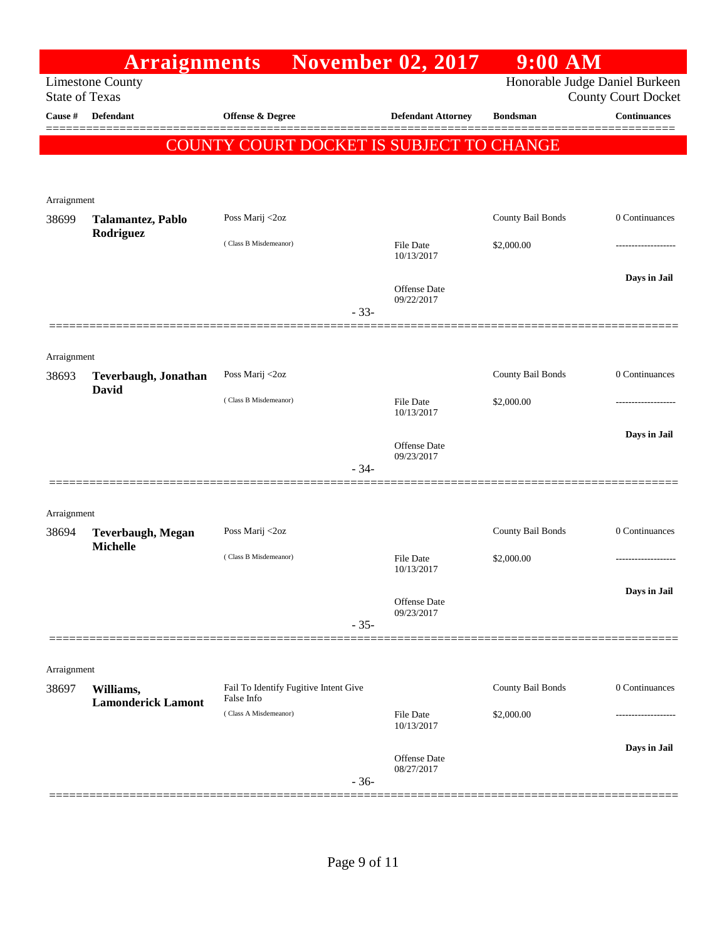|                                  | <b>Arraignments</b>                         |                                                     |        | <b>November 02, 2017</b>       | $9:00$ AM         |                                                   |
|----------------------------------|---------------------------------------------|-----------------------------------------------------|--------|--------------------------------|-------------------|---------------------------------------------------|
|                                  | <b>Limestone County</b>                     |                                                     |        |                                |                   | Honorable Judge Daniel Burkeen                    |
| <b>State of Texas</b><br>Cause # | <b>Defendant</b>                            |                                                     |        |                                | <b>Bondsman</b>   | <b>County Court Docket</b><br><b>Continuances</b> |
|                                  |                                             | <b>Offense &amp; Degree</b>                         |        | <b>Defendant Attorney</b>      |                   |                                                   |
|                                  |                                             | COUNTY COURT DOCKET IS SUBJECT TO CHANGE            |        |                                |                   |                                                   |
|                                  |                                             |                                                     |        |                                |                   |                                                   |
| Arraignment                      |                                             |                                                     |        |                                |                   |                                                   |
| 38699                            | Talamantez, Pablo                           | Poss Marij <2oz                                     |        |                                | County Bail Bonds | 0 Continuances                                    |
|                                  | Rodriguez                                   | (Class B Misdemeanor)                               |        | <b>File Date</b>               | \$2,000.00        |                                                   |
|                                  |                                             |                                                     |        | 10/13/2017                     |                   |                                                   |
|                                  |                                             |                                                     |        | Offense Date                   |                   | Days in Jail                                      |
|                                  |                                             |                                                     |        | 09/22/2017                     |                   |                                                   |
|                                  |                                             |                                                     | $-33-$ |                                |                   |                                                   |
|                                  |                                             |                                                     |        |                                |                   |                                                   |
| Arraignment                      |                                             | Poss Marij <2oz                                     |        |                                | County Bail Bonds | 0 Continuances                                    |
| 38693                            | <b>Teverbaugh, Jonathan</b><br><b>David</b> |                                                     |        |                                |                   |                                                   |
|                                  |                                             | (Class B Misdemeanor)                               |        | <b>File Date</b><br>10/13/2017 | \$2,000.00        |                                                   |
|                                  |                                             |                                                     |        |                                |                   | Days in Jail                                      |
|                                  |                                             |                                                     |        | Offense Date<br>09/23/2017     |                   |                                                   |
|                                  |                                             |                                                     | $-34-$ |                                |                   |                                                   |
|                                  |                                             |                                                     |        |                                |                   |                                                   |
| Arraignment                      |                                             |                                                     |        |                                |                   |                                                   |
| 38694                            | <b>Teverbaugh, Megan</b><br><b>Michelle</b> | Poss Marij <2oz                                     |        |                                | County Bail Bonds | 0 Continuances                                    |
|                                  |                                             | (Class B Misdemeanor)                               |        | <b>File Date</b><br>10/13/2017 | \$2,000.00        |                                                   |
|                                  |                                             |                                                     |        |                                |                   |                                                   |
|                                  |                                             |                                                     |        | Offense Date<br>09/23/2017     |                   | Days in Jail                                      |
|                                  |                                             |                                                     | $-35-$ |                                |                   |                                                   |
|                                  |                                             |                                                     |        |                                |                   |                                                   |
| Arraignment                      |                                             |                                                     |        |                                |                   |                                                   |
| 38697                            | Williams,                                   | Fail To Identify Fugitive Intent Give<br>False Info |        |                                | County Bail Bonds | 0 Continuances                                    |
|                                  | <b>Lamonderick Lamont</b>                   | (Class A Misdemeanor)                               |        | <b>File Date</b>               | \$2,000.00        |                                                   |
|                                  |                                             |                                                     |        | 10/13/2017                     |                   |                                                   |
|                                  |                                             |                                                     |        | Offense Date                   |                   | Days in Jail                                      |
|                                  |                                             |                                                     | $-36-$ | 08/27/2017                     |                   |                                                   |
|                                  |                                             |                                                     |        |                                |                   |                                                   |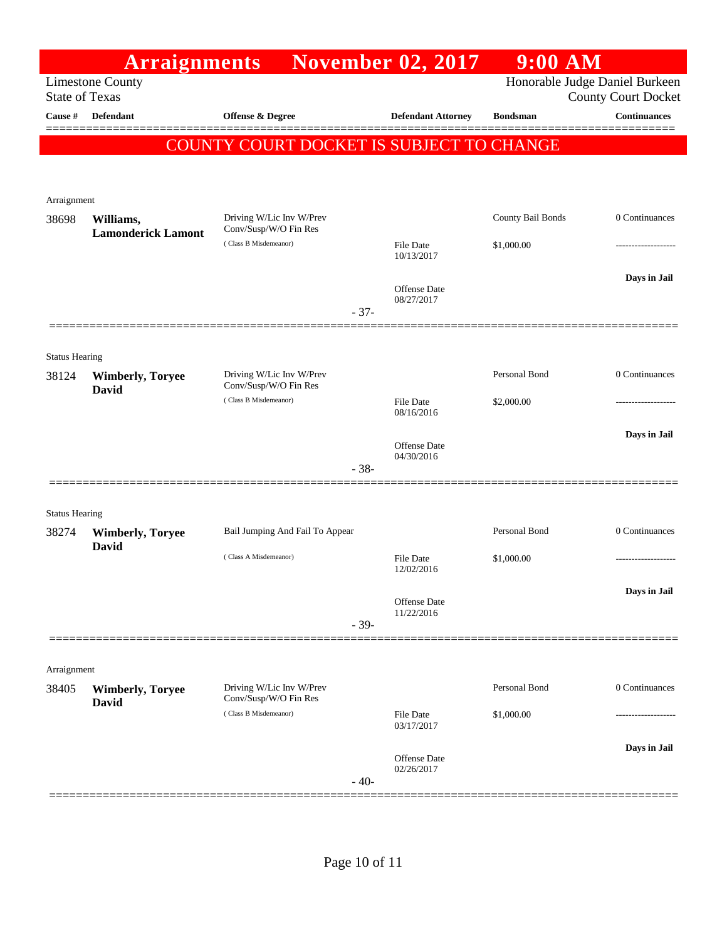|                       | <b>Arraignments</b>                              |                                                   |        | <b>November 02, 2017</b>          | $9:00$ AM         |                                                              |
|-----------------------|--------------------------------------------------|---------------------------------------------------|--------|-----------------------------------|-------------------|--------------------------------------------------------------|
|                       | <b>Limestone County</b><br><b>State of Texas</b> |                                                   |        |                                   |                   | Honorable Judge Daniel Burkeen<br><b>County Court Docket</b> |
| Cause #               | <b>Defendant</b>                                 | <b>Offense &amp; Degree</b>                       |        | <b>Defendant Attorney</b>         | <b>Bondsman</b>   | <b>Continuances</b>                                          |
|                       |                                                  | COUNTY COURT DOCKET IS SUBJECT TO CHANGE          |        |                                   |                   |                                                              |
| Arraignment           |                                                  |                                                   |        |                                   |                   |                                                              |
| 38698                 | Williams,<br><b>Lamonderick Lamont</b>           | Driving W/Lic Inv W/Prev<br>Conv/Susp/W/O Fin Res |        |                                   | County Bail Bonds | 0 Continuances                                               |
|                       |                                                  | (Class B Misdemeanor)                             |        | File Date<br>10/13/2017           | \$1,000.00        |                                                              |
|                       |                                                  |                                                   |        | Offense Date<br>08/27/2017        |                   | Days in Jail                                                 |
|                       |                                                  |                                                   | $-37-$ |                                   |                   |                                                              |
| <b>Status Hearing</b> |                                                  |                                                   |        |                                   |                   |                                                              |
| 38124                 | <b>Wimberly, Toryee</b><br><b>David</b>          | Driving W/Lic Inv W/Prev<br>Conv/Susp/W/O Fin Res |        |                                   | Personal Bond     | 0 Continuances                                               |
|                       |                                                  | (Class B Misdemeanor)                             |        | File Date<br>08/16/2016           | \$2,000.00        |                                                              |
|                       |                                                  |                                                   |        | Offense Date<br>04/30/2016        |                   | Days in Jail                                                 |
|                       |                                                  |                                                   | $-38-$ |                                   |                   |                                                              |
| <b>Status Hearing</b> |                                                  |                                                   |        |                                   |                   |                                                              |
| 38274                 | <b>Wimberly, Toryee</b><br>David                 | Bail Jumping And Fail To Appear                   |        |                                   | Personal Bond     | 0 Continuances                                               |
|                       |                                                  | (Class A Misdemeanor)                             |        | <b>File Date</b><br>12/02/2016    | \$1,000.00        | .                                                            |
|                       |                                                  |                                                   |        | Offense Date                      |                   | Days in Jail                                                 |
|                       |                                                  |                                                   | $-39-$ | 11/22/2016                        |                   |                                                              |
| Arraignment           |                                                  |                                                   |        |                                   |                   |                                                              |
| 38405                 | <b>Wimberly, Toryee</b><br><b>David</b>          | Driving W/Lic Inv W/Prev<br>Conv/Susp/W/O Fin Res |        |                                   | Personal Bond     | 0 Continuances                                               |
|                       |                                                  | (Class B Misdemeanor)                             |        | <b>File Date</b><br>03/17/2017    | \$1,000.00        | -----------------                                            |
|                       |                                                  |                                                   | $-40-$ | <b>Offense</b> Date<br>02/26/2017 |                   | Days in Jail                                                 |